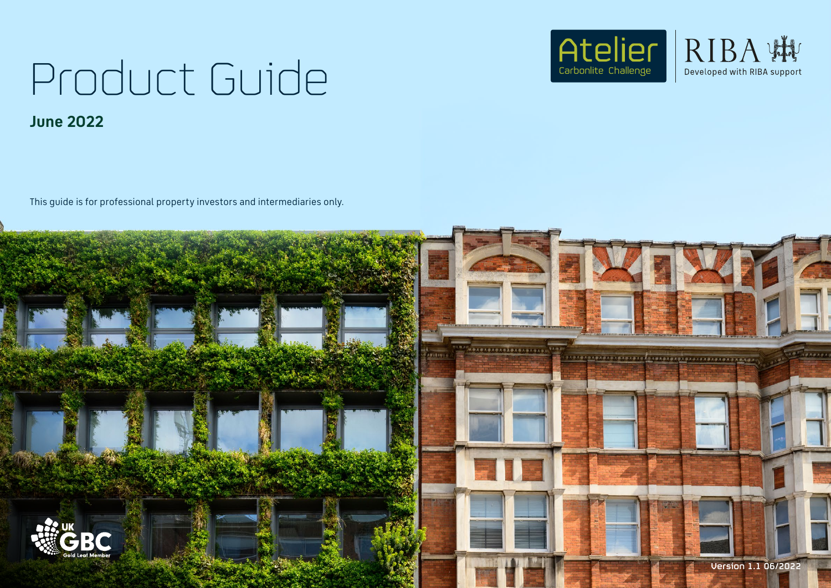# Product Guide **June 2022**

This guide is for professional property investors and intermediaries only.





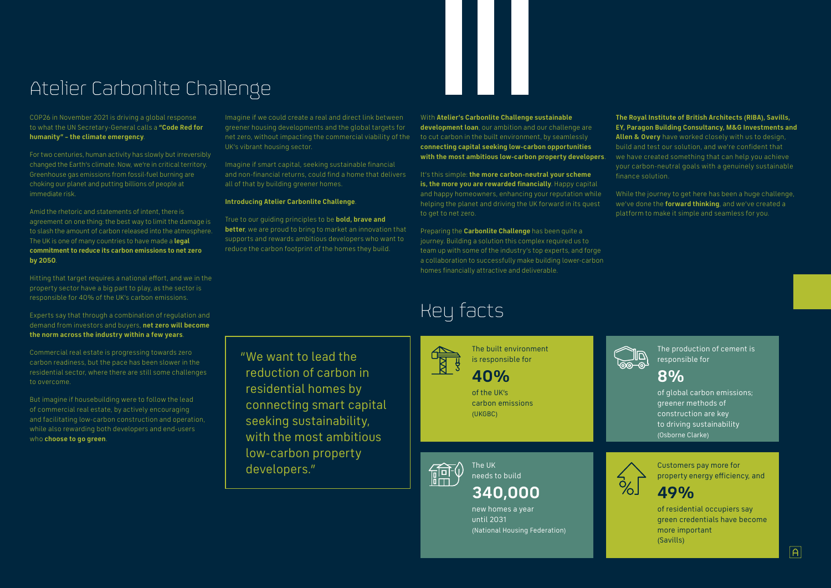## Atelier Carbonlite Challenge

COP26 in November 2021 is driving a global response to what the UN Secretary-General calls a **"Code Red for humanity" – the climate emergency**.

For two centuries, human activity has slowly but irreversibly changed the Earth's climate. Now, we're in critical territory. Greenhouse gas emissions from fossil-fuel burning are choking our planet and putting billions of people at immediate risk.

Amid the rhetoric and statements of intent, there is agreement on one thing: the best way to limit the damage is to slash the amount of carbon released into the atmosphere. The UK is one of many countries to have made a **legal commitment to reduce its carbon emissions to net zero by 2050**.

Hitting that target requires a national effort, and we in the property sector have a big part to play, as the sector is responsible for 40% of the UK's carbon emissions.

Experts say that through a combination of regulation and demand from investors and buyers, **net zero will become the norm across the industry within a few years**.

Commercial real estate is progressing towards zero carbon readiness, but the pace has been slower in the residential sector, where there are still some challenges to overcome.

But imagine if housebuilding were to follow the lead of commercial real estate, by actively encouraging and facilitating low-carbon construction and operation, while also rewarding both developers and end-users who **choose to go green**.

Imagine if we could create a real and direct link between greener housing developments and the global targets for net zero, without impacting the commercial viability of the UK's vibrant housing sector.

Imagine if smart capital, seeking sustainable financial and non-financial returns, could find a home that delivers all of that by building greener homes.

### **Introducing Atelier Carbonlite Challenge**.

True to our guiding principles to be **bold, brave and better**, we are proud to bring to market an innovation that supports and rewards ambitious developers who want to reduce the carbon footprint of the homes they build.

"We want to lead the reduction of carbon in residential homes by connecting smart capital seeking sustainability, with the most ambitious low-carbon property developers."

With **Atelier's Carbonlite Challenge sustainable development loan**, our ambition and our challenge are to cut carbon in the built environment, by seamlessly **connecting capital seeking low-carbon opportunities with the most ambitious low-carbon property developers**.

It's this simple: **the more carbon-neutral your scheme is, the more you are rewarded financially**. Happy capital and happy homeowners, enhancing your reputation while helping the planet and driving the UK forward in its quest to get to net zero.

Preparing the **Carbonlite Challenge** has been quite a journey. Building a solution this complex required us to team up with some of the industry's top experts, and forge a collaboration to successfully make building lower-carbon homes financially attractive and deliverable.

### **The Royal Institute of British Architects (RIBA), Savills, EY, Paragon Building Consultancy, M&G Investments and**

**Allen & Overy** have worked closely with us to design, build and test our solution, and we're confident that we have created something that can help you achieve your carbon-neutral goals with a genuinely sustainable finance solution.

While the journey to get here has been a huge challenge, we've done the **forward thinking**, and we've created a platform to make it simple and seamless for you.



## Key facts



of global carbon emissions; greener methods of construction are key to driving sustainability (Osborne Clarke)



new homes a year until 2031 (National Housing Federation)

of the UK's carbon emissions (UKGBC)



The production of cement is responsible for

The UK needs to build

**340,000 199%** 

Customers pay more for property energy efficiency, and



of residential occupiers say green credentials have become more important (Savills)



The built environment is responsible for

### **8%**

**40%**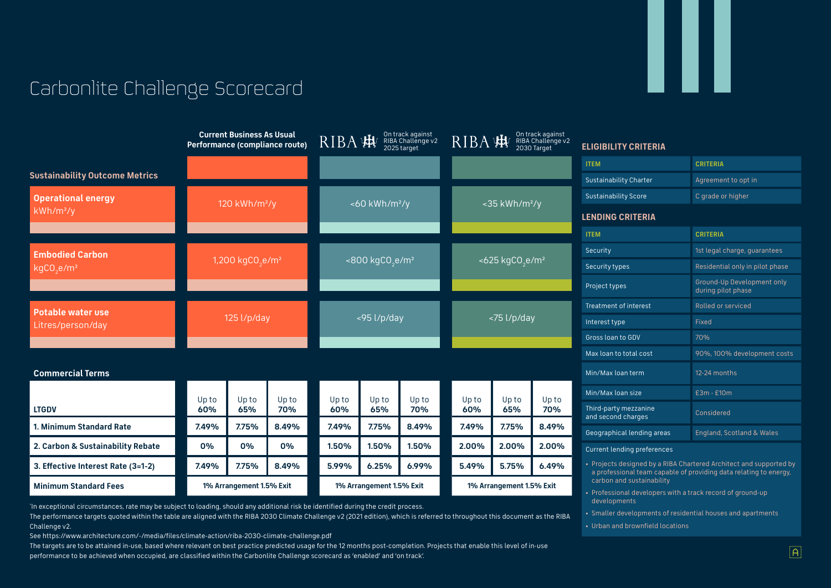## Carbonlite Challenge Scorecard

The performance targets quoted within the table are aligned with the RIBA 2030 Climate Challenge v2 (2021 edition), which is referred to throughout this document as the RIBA Challenge v2.

See https://www.architecture.com/-/media/files/climate-action/riba-2030-climate-challenge.pdf

The targets are to be attained in-use, based where relevant on best practice predicted usage for the 12 months post-completion. Projects that enable this level of in-use performance to be achieved when occupied, are classified within the Carbonlite Challenge scorecard as 'enabled' and 'on track'.

|                                       |                                 | <b>Current Business As Usual</b> | Performance (compliance route) | RIBA                                       |       | On track against<br>RIBA Challenge v2<br>2025 target | RIBA                     |                | On track against<br>RIBA Challenge v2<br>2030 Target                                    | <b>ELIGIBILITY CRITERIA</b>                                                                                                             |                           |  |
|---------------------------------------|---------------------------------|----------------------------------|--------------------------------|--------------------------------------------|-------|------------------------------------------------------|--------------------------|----------------|-----------------------------------------------------------------------------------------|-----------------------------------------------------------------------------------------------------------------------------------------|---------------------------|--|
|                                       |                                 |                                  |                                |                                            |       |                                                      |                          |                |                                                                                         | <b>ITEM</b>                                                                                                                             | <b>CRITERIA</b>           |  |
| <b>Sustainability Outcome Metrics</b> |                                 |                                  |                                |                                            |       |                                                      |                          |                |                                                                                         | <b>Sustainability Charter</b>                                                                                                           | Agreement to opt in       |  |
| <b>Operational energy</b>             | 120 $kWh/m^2/y$                 |                                  |                                | $<$ 60 kWh/m <sup>2</sup> /y               |       | $<$ 35 kWh/m <sup>2</sup> /y                         |                          |                | <b>Sustainability Score</b>                                                             | C grade or higher                                                                                                                       |                           |  |
| $kWh/m^2/y$                           |                                 |                                  |                                |                                            |       |                                                      |                          |                | <b>LENDING CRITERIA</b>                                                                 |                                                                                                                                         |                           |  |
|                                       |                                 |                                  |                                |                                            |       |                                                      |                          |                |                                                                                         | <b>ITEM</b>                                                                                                                             | <b>CRITERIA</b>           |  |
| <b>Embodied Carbon</b>                |                                 |                                  |                                | $<$ 800 kgCO <sub>2</sub> e/m <sup>2</sup> |       | $<625 \text{ kgCO}_{2} \text{e/m}^2$                 |                          |                | Security                                                                                | 1st legal charge, guarantees                                                                                                            |                           |  |
| kgCO <sub>2</sub> e/m <sup>2</sup>    | 1,200 $kgCO_2$ e/m <sup>2</sup> |                                  |                                |                                            |       |                                                      |                          | Security types | Residential only in pilot phase                                                         |                                                                                                                                         |                           |  |
|                                       |                                 |                                  |                                |                                            |       |                                                      |                          |                | Project types                                                                           | Ground-Up Development only<br>during pilot phase                                                                                        |                           |  |
| <b>Potable water use</b>              |                                 |                                  |                                |                                            |       |                                                      |                          | <75 l/p/day    |                                                                                         | Treatment of interest                                                                                                                   | Rolled or serviced        |  |
| Litres/person/day                     |                                 | $125$ l/p/day                    |                                | <95 l/p/day                                |       |                                                      | Interest type            |                |                                                                                         | Fixed                                                                                                                                   |                           |  |
|                                       |                                 |                                  |                                |                                            |       |                                                      |                          |                |                                                                                         | Gross loan to GDV                                                                                                                       | 70%                       |  |
|                                       |                                 |                                  |                                |                                            |       |                                                      |                          |                | Max loan to total cost                                                                  | 90%, 100% development costs                                                                                                             |                           |  |
| <b>Commercial Terms</b>               |                                 |                                  |                                |                                            |       |                                                      |                          |                |                                                                                         | Min/Max loan term                                                                                                                       | 12-24 months              |  |
|                                       | Up to                           | Up to                            | Up to                          | Up to                                      | Up to | Up to                                                | Up to                    | Up to          | Up to                                                                                   | Min/Max loan size                                                                                                                       | £3m - £10m                |  |
| <b>LTGDV</b>                          | 60%                             | 65%                              | 70%                            | 60%                                        | 65%   | 70%                                                  | 60%                      | 65%            | 70%                                                                                     | Third-party mezzanine<br>and second charges                                                                                             | Considered                |  |
| 1. Minimum Standard Rate              | 7.49%                           | 7.75%                            | 8.49%                          | 7.49%                                      | 7.75% | 8.49%                                                | 7.49%                    | 7.75%          | 8.49%                                                                                   | Geographical lending areas                                                                                                              | England, Scotland & Wales |  |
| 2. Carbon & Sustainability Rebate     | 0%                              | 0%                               | 0%                             | 1.50%                                      | 1.50% | 1.50%                                                | 2.00%                    | 2.00%          | 2.00%                                                                                   | <b>Current lending preferences</b>                                                                                                      |                           |  |
| 3. Effective Interest Rate (3=1-2)    | 7.49%                           | 7.75%                            | 8.49%                          | 5.99%                                      | 6.25% | 6.99%                                                | 5.49%                    | 5.75%          | 6.49%                                                                                   | • Projects designed by a RIBA Chartered Architect and supported by<br>a professional team capable of providing data relating to energy, |                           |  |
| <b>Minimum Standard Fees</b>          | 1% Arrangement 1.5% Exit        |                                  |                                | 1% Arrangement 1.5% Exit                   |       |                                                      | 1% Arrangement 1.5% Exit |                | carbon and sustainability<br>• Professional developers with a track record of ground-up |                                                                                                                                         |                           |  |

In exceptional circumstances, rate may be subject to loading, should any additional risk be identified during the credit process.

developments

• Smaller developments of residential houses and apartments

• Urban and brownfield locations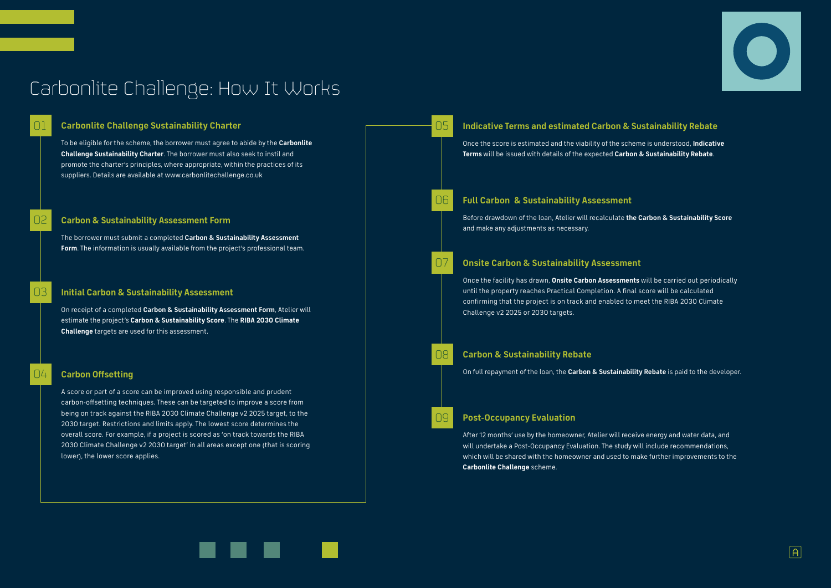## Carbonlite Challenge: How It Works

### 01 **Carbonlite Challenge Sustainability Charter**

To be eligible for the scheme, the borrower must agree to abide by the **Carbonlite Challenge Sustainability Charter**. The borrower must also seek to instil and promote the charter's principles, where appropriate, within the practices of its suppliers. Details are available at www.carbonlitechallenge.co.uk

### 02 **Carbon & Sustainability Assessment Form**

The borrower must submit a completed **Carbon & Sustainability Assessment Form**. The information is usually available from the project's professional team.









### 03 **Initial Carbon & Sustainability Assessment**

On receipt of a completed **Carbon & Sustainability Assessment Form**, Atelier will estimate the project's **Carbon & Sustainability Score**. The **RIBA 2030 Climate Challenge** targets are used for this assessment.

### 04 **Carbon Offsetting**

A score or part of a score can be improved using responsible and prudent carbon-offsetting techniques. These can be targeted to improve a score from being on track against the RIBA 2030 Climate Challenge v2 2025 target, to the 2030 target. Restrictions and limits apply. The lowest score determines the overall score. For example, if a project is scored as 'on track towards the RIBA 2030 Climate Challenge v2 2030 target' in all areas except one (that is scoring lower), the lower score applies.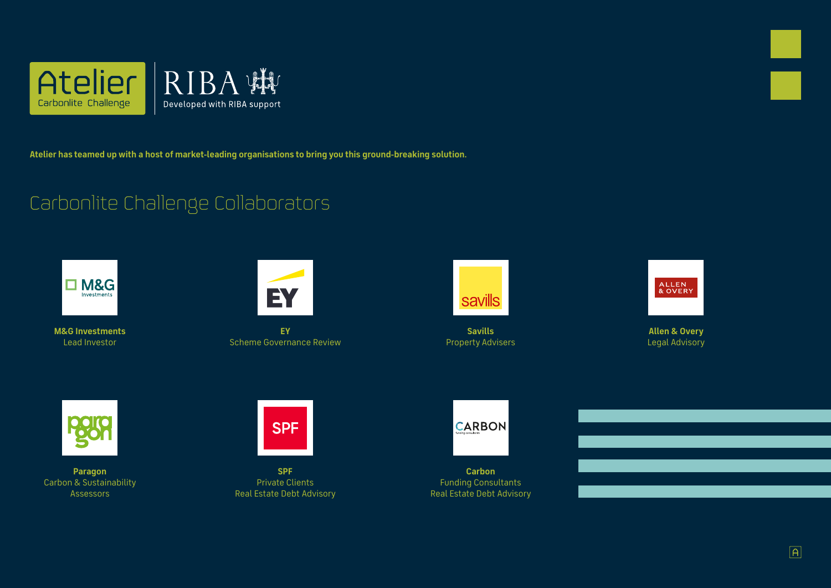

**Atelier has teamed up with a host of market-leading organisations to bring you this ground-breaking solution.** 

## Carbonlite Challenge Collaborators



**M&G Investments** Lead Investor



**SPF** Private Clients Real Estate Debt Advisory



**Carbon**  Funding Consultants Real Estate Debt Advisory







**Allen & Overy** Legal Advisory



**Savills**  Property Advisers



**Paragon**  Carbon & Sustainability Assessors



**EY**  Scheme Governance Review